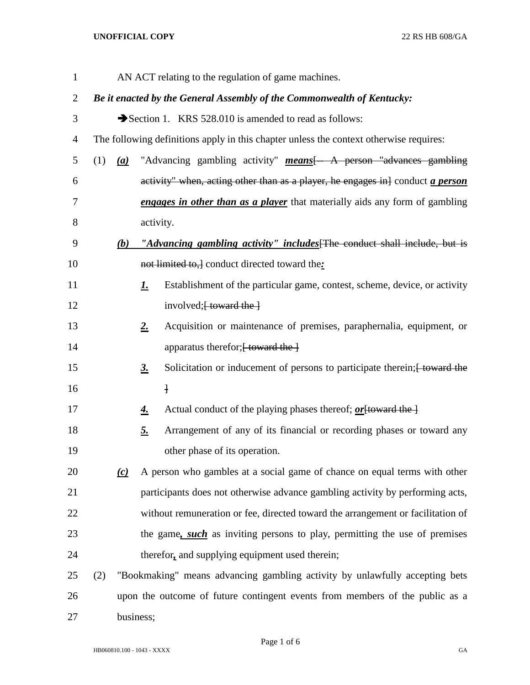## **UNOFFICIAL COPY** 22 RS HB 608/GA

| $\mathbf 1$ |                                                                                        |     |             | AN ACT relating to the regulation of game machines.                                  |  |
|-------------|----------------------------------------------------------------------------------------|-----|-------------|--------------------------------------------------------------------------------------|--|
| 2           | Be it enacted by the General Assembly of the Commonwealth of Kentucky:                 |     |             |                                                                                      |  |
| 3           |                                                                                        |     |             | Section 1. KRS 528.010 is amended to read as follows:                                |  |
| 4           | The following definitions apply in this chapter unless the context otherwise requires: |     |             |                                                                                      |  |
| 5           | (1)                                                                                    | (a) |             | "Advancing gambling activity" <b>means</b> [- A person "advances gambling"           |  |
| 6           |                                                                                        |     |             | activity" when, acting other than as a player, he engages in conduct <i>a person</i> |  |
| 7           |                                                                                        |     |             | <b>engages in other than as a player</b> that materially aids any form of gambling   |  |
| 8           |                                                                                        |     | activity.   |                                                                                      |  |
| 9           |                                                                                        | (b) |             | "Advancing gambling activity" includes [The conduct shall include, but is            |  |
| 10          |                                                                                        |     |             | not limited to, ] conduct directed toward the:                                       |  |
| 11          |                                                                                        |     | <u>I.</u>   | Establishment of the particular game, contest, scheme, device, or activity           |  |
| 12          |                                                                                        |     |             | involved; [ toward the ]                                                             |  |
| 13          |                                                                                        |     | $2_{\cdot}$ | Acquisition or maintenance of premises, paraphernalia, equipment, or                 |  |
| 14          |                                                                                        |     |             | apparatus therefor; [ toward the ]                                                   |  |
| 15          |                                                                                        |     | <u>3.</u>   | Solicitation or inducement of persons to participate therein; [ toward the           |  |
| 16          |                                                                                        |     |             | $\mathbf{1}$                                                                         |  |
| 17          |                                                                                        |     | <u>4.</u>   | Actual conduct of the playing phases thereof; <i>or</i> [toward the ]                |  |
| 18          |                                                                                        |     | <u>5.</u>   | Arrangement of any of its financial or recording phases or toward any                |  |
| 19          |                                                                                        |     |             | other phase of its operation.                                                        |  |
| 20          |                                                                                        | (c) |             | A person who gambles at a social game of chance on equal terms with other            |  |
| 21          |                                                                                        |     |             | participants does not otherwise advance gambling activity by performing acts,        |  |
| 22          |                                                                                        |     |             | without remuneration or fee, directed toward the arrangement or facilitation of      |  |
| 23          |                                                                                        |     |             | the game, <i>such</i> as inviting persons to play, permitting the use of premises    |  |
| 24          |                                                                                        |     |             | therefor, and supplying equipment used therein;                                      |  |
| 25          | (2)                                                                                    |     |             | "Bookmaking" means advancing gambling activity by unlawfully accepting bets          |  |
| 26          | upon the outcome of future contingent events from members of the public as a           |     |             |                                                                                      |  |
| 27          | business;                                                                              |     |             |                                                                                      |  |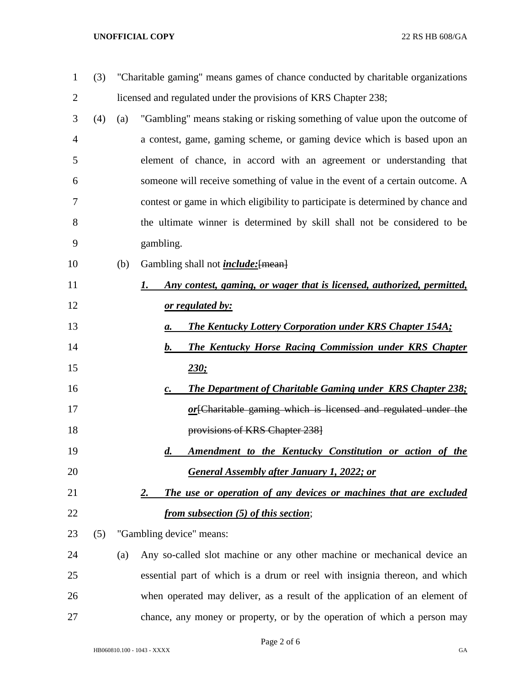## **UNOFFICIAL COPY** 22 RS HB 608/GA

| $\mathbf{1}$   | (3) |     | "Charitable gaming" means games of chance conducted by charitable organizations |
|----------------|-----|-----|---------------------------------------------------------------------------------|
| $\overline{2}$ |     |     | licensed and regulated under the provisions of KRS Chapter 238;                 |
| 3              | (4) | (a) | "Gambling" means staking or risking something of value upon the outcome of      |
| $\overline{4}$ |     |     | a contest, game, gaming scheme, or gaming device which is based upon an         |
| 5              |     |     | element of chance, in accord with an agreement or understanding that            |
| 6              |     |     | someone will receive something of value in the event of a certain outcome. A    |
| 7              |     |     | contest or game in which eligibility to participate is determined by chance and |
| 8              |     |     | the ultimate winner is determined by skill shall not be considered to be        |
| 9              |     |     | gambling.                                                                       |
| 10             |     | (b) | Gambling shall not <i>include</i> : [mean]                                      |
| 11             |     |     | Any contest, gaming, or wager that is licensed, authorized, permitted,<br>1.    |
| 12             |     |     | <u>or regulated by:</u>                                                         |
| 13             |     |     | The Kentucky Lottery Corporation under KRS Chapter 154A;<br>а.                  |
| 14             |     |     | <b>The Kentucky Horse Racing Commission under KRS Chapter</b><br>b.             |
| 15             |     |     | 230:                                                                            |
| 16             |     |     | The Department of Charitable Gaming under KRS Chapter 238;<br>$\mathcal{C}$ .   |
| 17             |     |     | or [Charitable gaming which is licensed and regulated under the                 |
| 18             |     |     | provisions of KRS Chapter 238]                                                  |
| 19             |     |     | Amendment to the Kentucky Constitution or action of the<br>d.                   |
| 20             |     |     | <b>General Assembly after January 1, 2022; or</b>                               |
| 21             |     |     | The use or operation of any devices or machines that are excluded<br>2.         |
| 22             |     |     | from subsection (5) of this section;                                            |
| 23             | (5) |     | "Gambling device" means:                                                        |
| 24             |     | (a) | Any so-called slot machine or any other machine or mechanical device an         |
| 25             |     |     | essential part of which is a drum or reel with insignia thereon, and which      |
| 26             |     |     | when operated may deliver, as a result of the application of an element of      |
| 27             |     |     | chance, any money or property, or by the operation of which a person may        |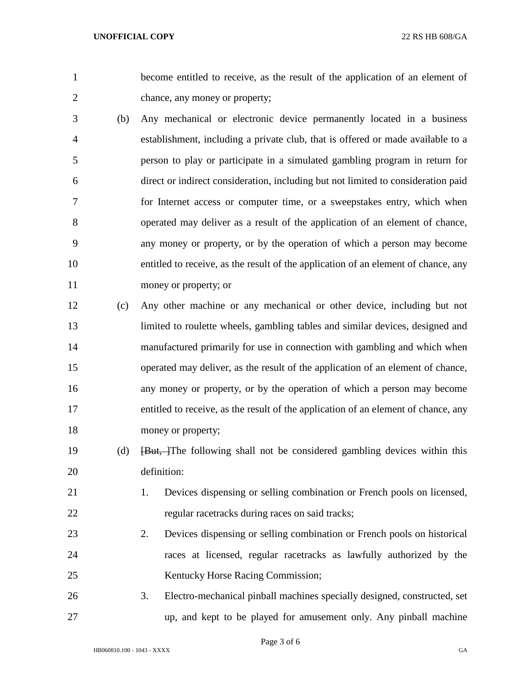become entitled to receive, as the result of the application of an element of chance, any money or property;

- (b) Any mechanical or electronic device permanently located in a business establishment, including a private club, that is offered or made available to a person to play or participate in a simulated gambling program in return for direct or indirect consideration, including but not limited to consideration paid for Internet access or computer time, or a sweepstakes entry, which when operated may deliver as a result of the application of an element of chance, any money or property, or by the operation of which a person may become entitled to receive, as the result of the application of an element of chance, any money or property; or
- (c) Any other machine or any mechanical or other device, including but not limited to roulette wheels, gambling tables and similar devices, designed and manufactured primarily for use in connection with gambling and which when operated may deliver, as the result of the application of an element of chance, any money or property, or by the operation of which a person may become entitled to receive, as the result of the application of an element of chance, any 18 money or property;
- 19 (d) <del>[But, ]</del>The following shall not be considered gambling devices within this definition:
- 1. Devices dispensing or selling combination or French pools on licensed, regular racetracks during races on said tracks;
- 2. Devices dispensing or selling combination or French pools on historical races at licensed, regular racetracks as lawfully authorized by the Kentucky Horse Racing Commission;
- 3. Electro-mechanical pinball machines specially designed, constructed, set up, and kept to be played for amusement only. Any pinball machine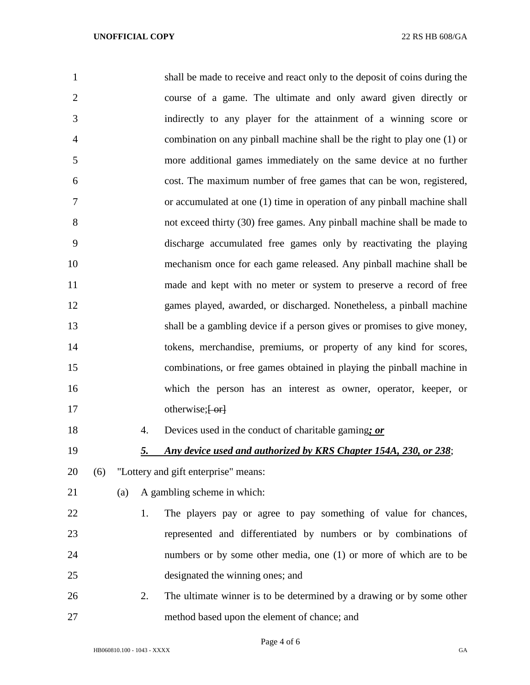| $\mathbf{1}$   |           | shall be made to receive and react only to the deposit of coins during the |
|----------------|-----------|----------------------------------------------------------------------------|
| $\overline{2}$ |           | course of a game. The ultimate and only award given directly or            |
| 3              |           | indirectly to any player for the attainment of a winning score or          |
| 4              |           | combination on any pinball machine shall be the right to play one (1) or   |
| 5              |           | more additional games immediately on the same device at no further         |
| 6              |           | cost. The maximum number of free games that can be won, registered,        |
| 7              |           | or accumulated at one (1) time in operation of any pinball machine shall   |
| 8              |           | not exceed thirty (30) free games. Any pinball machine shall be made to    |
| 9              |           | discharge accumulated free games only by reactivating the playing          |
| 10             |           | mechanism once for each game released. Any pinball machine shall be        |
| 11             |           | made and kept with no meter or system to preserve a record of free         |
| 12             |           | games played, awarded, or discharged. Nonetheless, a pinball machine       |
| 13             |           | shall be a gambling device if a person gives or promises to give money,    |
| 14             |           | tokens, merchandise, premiums, or property of any kind for scores,         |
| 15             |           | combinations, or free games obtained in playing the pinball machine in     |
| 16             |           | which the person has an interest as owner, operator, keeper, or            |
| 17             |           | otherwise; $\left\{ -\text{or} \right\}$                                   |
| 18             | 4.        | Devices used in the conduct of charitable gaming; or                       |
| 19             | <u>5.</u> | Any device used and authorized by KRS Chapter 154A, 230, or 238;           |
| 20             | (6)       | "Lottery and gift enterprise" means:                                       |
| 21             | (a)       | A gambling scheme in which:                                                |
| 22             | 1.        | The players pay or agree to pay something of value for chances,            |
| 23             |           | represented and differentiated by numbers or by combinations of            |
| 24             |           | numbers or by some other media, one (1) or more of which are to be         |
| 25             |           | designated the winning ones; and                                           |
| 26             | 2.        | The ultimate winner is to be determined by a drawing or by some other      |
| 27             |           | method based upon the element of chance; and                               |

Page 4 of 6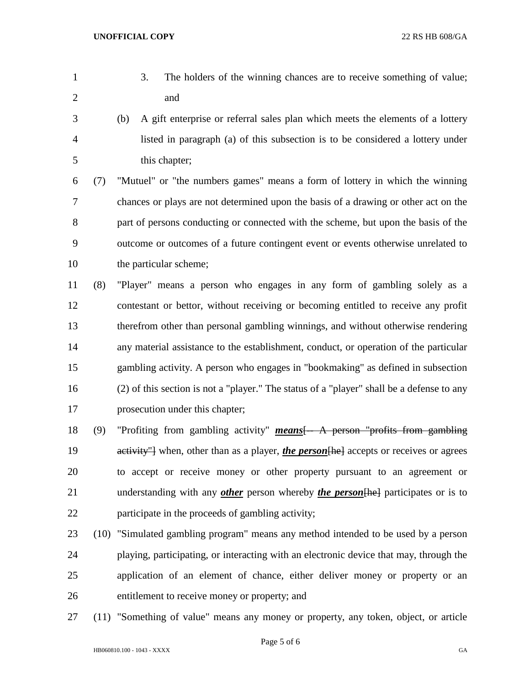- 
- 3. The holders of the winning chances are to receive something of value; and
- (b) A gift enterprise or referral sales plan which meets the elements of a lottery listed in paragraph (a) of this subsection is to be considered a lottery under this chapter;

 (7) "Mutuel" or "the numbers games" means a form of lottery in which the winning chances or plays are not determined upon the basis of a drawing or other act on the part of persons conducting or connected with the scheme, but upon the basis of the outcome or outcomes of a future contingent event or events otherwise unrelated to the particular scheme;

 (8) "Player" means a person who engages in any form of gambling solely as a contestant or bettor, without receiving or becoming entitled to receive any profit therefrom other than personal gambling winnings, and without otherwise rendering any material assistance to the establishment, conduct, or operation of the particular gambling activity. A person who engages in "bookmaking" as defined in subsection (2) of this section is not a "player." The status of a "player" shall be a defense to any prosecution under this chapter;

 (9) "Profiting from gambling activity" *means*[-- A person "profits from gambling 19 activity" when, other than as a player, *the person* [he] accepts or receives or agrees to accept or receive money or other property pursuant to an agreement or understanding with any *other* person whereby *the person*[he] participates or is to participate in the proceeds of gambling activity;

- (10) "Simulated gambling program" means any method intended to be used by a person playing, participating, or interacting with an electronic device that may, through the application of an element of chance, either deliver money or property or an entitlement to receive money or property; and
- (11) "Something of value" means any money or property, any token, object, or article